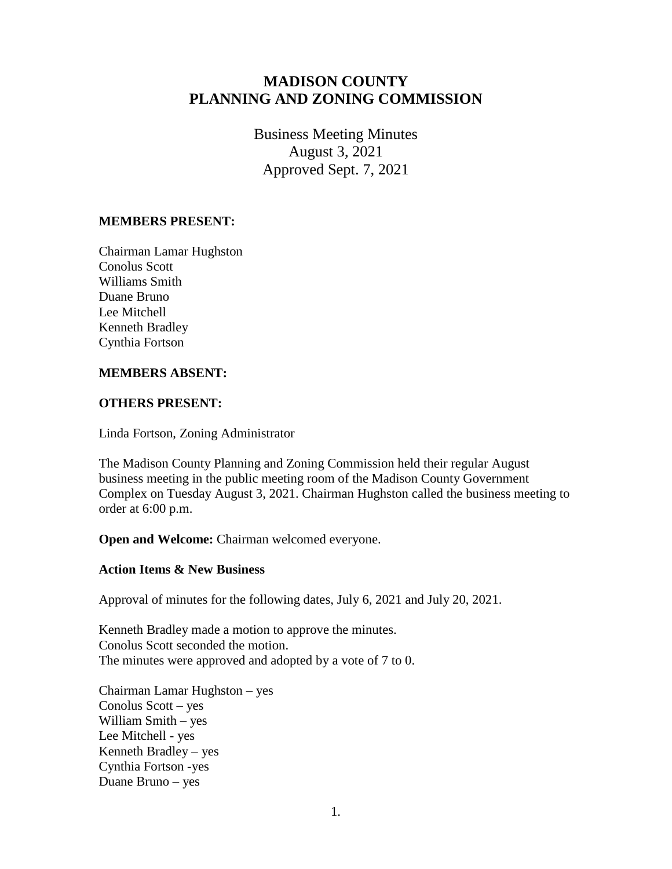# **MADISON COUNTY PLANNING AND ZONING COMMISSION**

Business Meeting Minutes August 3, 2021 Approved Sept. 7, 2021

## **MEMBERS PRESENT:**

Chairman Lamar Hughston Conolus Scott Williams Smith Duane Bruno Lee Mitchell Kenneth Bradley Cynthia Fortson

## **MEMBERS ABSENT:**

#### **OTHERS PRESENT:**

Linda Fortson, Zoning Administrator

The Madison County Planning and Zoning Commission held their regular August business meeting in the public meeting room of the Madison County Government Complex on Tuesday August 3, 2021. Chairman Hughston called the business meeting to order at 6:00 p.m.

**Open and Welcome:** Chairman welcomed everyone.

### **Action Items & New Business**

Approval of minutes for the following dates, July 6, 2021 and July 20, 2021.

Kenneth Bradley made a motion to approve the minutes. Conolus Scott seconded the motion. The minutes were approved and adopted by a vote of 7 to 0.

Chairman Lamar Hughston – yes Conolus Scott – yes William Smith – yes Lee Mitchell - yes Kenneth Bradley – yes Cynthia Fortson -yes Duane Bruno – yes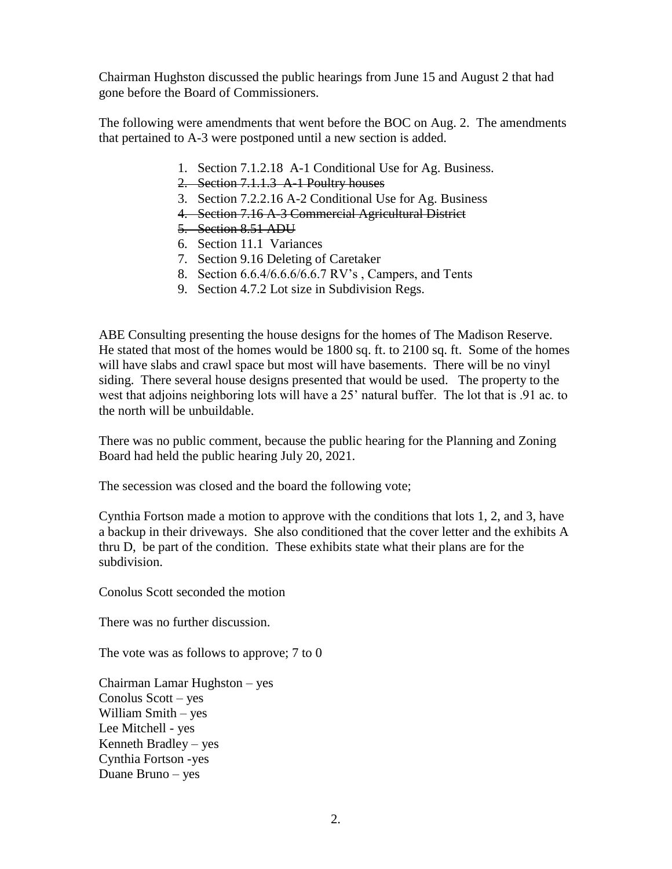Chairman Hughston discussed the public hearings from June 15 and August 2 that had gone before the Board of Commissioners.

The following were amendments that went before the BOC on Aug. 2. The amendments that pertained to A-3 were postponed until a new section is added.

- 1. Section 7.1.2.18 A-1 Conditional Use for Ag. Business.
- 2. Section 7.1.1.3 A-1 Poultry houses
- 3. Section 7.2.2.16 A-2 Conditional Use for Ag. Business
- 4. Section 7.16 A-3 Commercial Agricultural District
- 5. Section 8.51 ADU
- 6. Section 11.1 Variances
- 7. Section 9.16 Deleting of Caretaker
- 8. Section 6.6.4/6.6.6/6.6.7 RV's , Campers, and Tents
- 9. Section 4.7.2 Lot size in Subdivision Regs.

ABE Consulting presenting the house designs for the homes of The Madison Reserve. He stated that most of the homes would be 1800 sq. ft. to 2100 sq. ft. Some of the homes will have slabs and crawl space but most will have basements. There will be no vinyl siding. There several house designs presented that would be used. The property to the west that adjoins neighboring lots will have a 25' natural buffer. The lot that is .91 ac. to the north will be unbuildable.

There was no public comment, because the public hearing for the Planning and Zoning Board had held the public hearing July 20, 2021.

The secession was closed and the board the following vote;

Cynthia Fortson made a motion to approve with the conditions that lots 1, 2, and 3, have a backup in their driveways. She also conditioned that the cover letter and the exhibits A thru D, be part of the condition. These exhibits state what their plans are for the subdivision.

Conolus Scott seconded the motion

There was no further discussion.

The vote was as follows to approve; 7 to 0

Chairman Lamar Hughston – yes Conolus Scott – yes William Smith – yes Lee Mitchell - yes Kenneth Bradley – yes Cynthia Fortson -yes Duane Bruno – yes